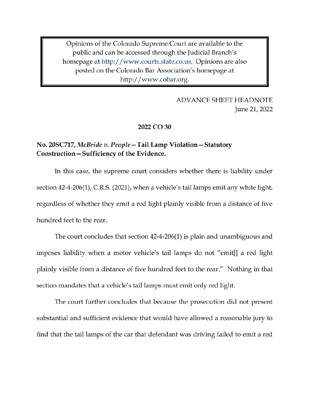Opinions of the Colorado Supreme Court are available to the public and can be accessed through the Judicial Branch's homepage at http://www.courts.state.co.us. Opinions are also posted on the Colorado Bar Association's homepage at http://www.cobar.org.

# **ADVANCE SHEET HEADNOTE** June 21, 2022

## 2022 CO 30

# No. 20SC717, McBride v. People – Tail Lamp Violation – Statutory Construction – Sufficiency of the Evidence.

In this case, the supreme court considers whether there is liability under section 42-4-206(1), C.R.S. (2021), when a vehicle's tail lamps emit any white light, regardless of whether they emit a red light plainly visible from a distance of five hundred feet to the rear.

The court concludes that section 42-4-206(1) is plain and unambiguous and imposes liability when a motor vehicle's tail lamps do not "emit<sup>[]</sup> a red light plainly visible from a distance of five hundred feet to the rear." Nothing in that section mandates that a vehicle's tail lamps must emit only red light.

The court further concludes that because the prosecution did not present substantial and sufficient evidence that would have allowed a reasonable jury to find that the tail lamps of the car that defendant was driving failed to emit a red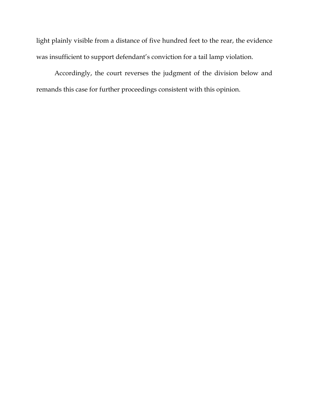light plainly visible from a distance of five hundred feet to the rear, the evidence was insufficient to support defendant's conviction for a tail lamp violation.

Accordingly, the court reverses the judgment of the division below and remands this case for further proceedings consistent with this opinion.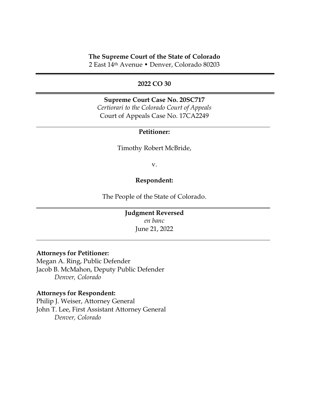# **The Supreme Court of the State of Colorado**

2 East 14th Avenue • Denver, Colorado 80203

## **2022 CO 30**

**Supreme Court Case No. 20SC717** *Certiorari to the Colorado Court of Appeals* Court of Appeals Case No. 17CA2249

## **Petitioner:**

Timothy Robert McBride,

v.

#### **Respondent:**

The People of the State of Colorado.

# **Judgment Reversed** *en banc* June 21, 2022

# **Attorneys for Petitioner:**

Megan A. Ring, Public Defender Jacob B. McMahon, Deputy Public Defender *Denver, Colorado*

#### **Attorneys for Respondent:**

Philip J. Weiser, Attorney General John T. Lee, First Assistant Attorney General *Denver, Colorado*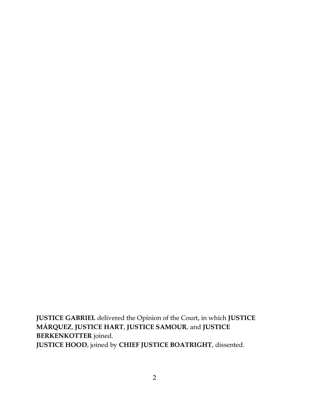**JUSTICE GABRIEL** delivered the Opinion of the Court, in which **JUSTICE MÁRQUEZ**, **JUSTICE HART**, **JUSTICE SAMOUR**, and **JUSTICE BERKENKOTTER** joined. **JUSTICE HOOD**, joined by **CHIEF JUSTICE BOATRIGHT**, dissented.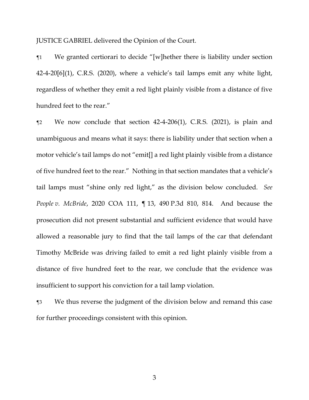JUSTICE GABRIEL delivered the Opinion of the Court.

¶1 We granted certiorari to decide "[w]hether there is liability under section 42-4-20[6](1), C.R.S. (2020), where a vehicle's tail lamps emit any white light, regardless of whether they emit a red light plainly visible from a distance of five hundred feet to the rear."

¶2 We now conclude that section 42-4-206(1), C.R.S. (2021), is plain and unambiguous and means what it says: there is liability under that section when a motor vehicle's tail lamps do not "emit[] a red light plainly visible from a distance of five hundred feet to the rear." Nothing in that section mandates that a vehicle's tail lamps must "shine only red light," as the division below concluded. *See People v. McBride*, 2020 COA 111, ¶ 13, 490 P.3d 810, 814. And because the prosecution did not present substantial and sufficient evidence that would have allowed a reasonable jury to find that the tail lamps of the car that defendant Timothy McBride was driving failed to emit a red light plainly visible from a distance of five hundred feet to the rear, we conclude that the evidence was insufficient to support his conviction for a tail lamp violation.

¶3 We thus reverse the judgment of the division below and remand this case for further proceedings consistent with this opinion.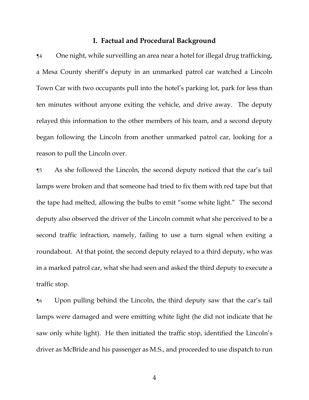#### **I. Factual and Procedural Background**

¶4 One night, while surveilling an area near a hotel for illegal drug trafficking, a Mesa County sheriff's deputy in an unmarked patrol car watched a Lincoln Town Car with two occupants pull into the hotel's parking lot, park for less than ten minutes without anyone exiting the vehicle, and drive away. The deputy relayed this information to the other members of his team, and a second deputy began following the Lincoln from another unmarked patrol car, looking for a reason to pull the Lincoln over.

¶5 As she followed the Lincoln, the second deputy noticed that the car's tail lamps were broken and that someone had tried to fix them with red tape but that the tape had melted, allowing the bulbs to emit "some white light." The second deputy also observed the driver of the Lincoln commit what she perceived to be a second traffic infraction, namely, failing to use a turn signal when exiting a roundabout. At that point, the second deputy relayed to a third deputy, who was in a marked patrol car, what she had seen and asked the third deputy to execute a traffic stop.

¶6 Upon pulling behind the Lincoln, the third deputy saw that the car's tail lamps were damaged and were emitting white light (he did not indicate that he saw only white light). He then initiated the traffic stop, identified the Lincoln's driver as McBride and his passenger as M.S., and proceeded to use dispatch to run

4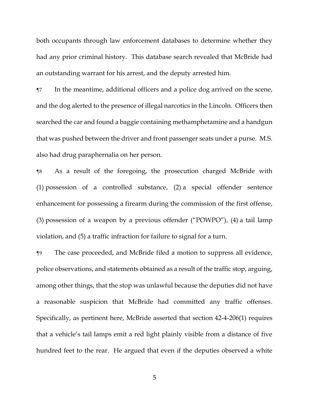both occupants through law enforcement databases to determine whether they had any prior criminal history. This database search revealed that McBride had an outstanding warrant for his arrest, and the deputy arrested him.

¶7 In the meantime, additional officers and a police dog arrived on the scene, and the dog alerted to the presence of illegal narcotics in the Lincoln. Officers then searched the car and found a baggie containing methamphetamine and a handgun that was pushed between the driver and front passenger seats under a purse. M.S. also had drug paraphernalia on her person.

¶8 As a result of the foregoing, the prosecution charged McBride with (1) possession of a controlled substance, (2) a special offender sentence enhancement for possessing a firearm during the commission of the first offense, (3) possession of a weapon by a previous offender ("POWPO"), (4) a tail lamp violation, and (5) a traffic infraction for failure to signal for a turn.

¶9 The case proceeded, and McBride filed a motion to suppress all evidence, police observations, and statements obtained as a result of the traffic stop, arguing, among other things, that the stop was unlawful because the deputies did not have a reasonable suspicion that McBride had committed any traffic offenses. Specifically, as pertinent here, McBride asserted that section 42-4-206(1) requires that a vehicle's tail lamps emit a red light plainly visible from a distance of five hundred feet to the rear. He argued that even if the deputies observed a white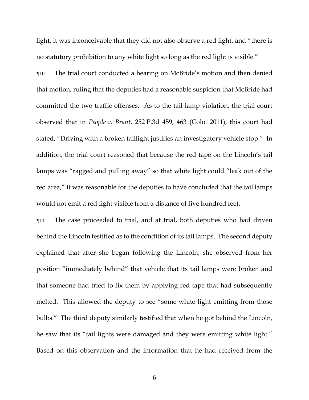light, it was inconceivable that they did not also observe a red light, and "there is no statutory prohibition to any white light so long as the red light is visible."

¶10 The trial court conducted a hearing on McBride's motion and then denied that motion, ruling that the deputies had a reasonable suspicion that McBride had committed the two traffic offenses. As to the tail lamp violation, the trial court observed that in *People v. Brant*, 252 P.3d 459, 463 (Colo. 2011), this court had stated, "Driving with a broken taillight justifies an investigatory vehicle stop." In addition, the trial court reasoned that because the red tape on the Lincoln's tail lamps was "ragged and pulling away" so that white light could "leak out of the red area," it was reasonable for the deputies to have concluded that the tail lamps would not emit a red light visible from a distance of five hundred feet.

¶11 The case proceeded to trial, and at trial, both deputies who had driven behind the Lincoln testified as to the condition of its tail lamps. The second deputy explained that after she began following the Lincoln, she observed from her position "immediately behind" that vehicle that its tail lamps were broken and that someone had tried to fix them by applying red tape that had subsequently melted. This allowed the deputy to see "some white light emitting from those bulbs." The third deputy similarly testified that when he got behind the Lincoln, he saw that its "tail lights were damaged and they were emitting white light." Based on this observation and the information that he had received from the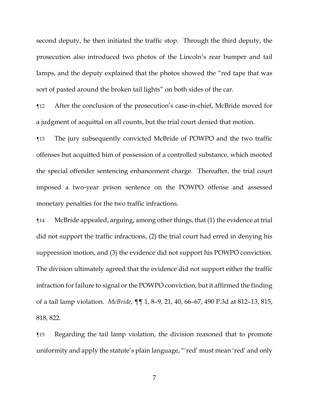second deputy, he then initiated the traffic stop. Through the third deputy, the prosecution also introduced two photos of the Lincoln's rear bumper and tail lamps, and the deputy explained that the photos showed the "red tape that was sort of pasted around the broken tail lights" on both sides of the car.

¶12 After the conclusion of the prosecution's case-in-chief, McBride moved for a judgment of acquittal on all counts, but the trial court denied that motion.

¶13 The jury subsequently convicted McBride of POWPO and the two traffic offenses but acquitted him of possession of a controlled substance, which mooted the special offender sentencing enhancement charge. Thereafter, the trial court imposed a two-year prison sentence on the POWPO offense and assessed monetary penalties for the two traffic infractions.

¶14 McBride appealed, arguing, among other things, that (1) the evidence at trial did not support the traffic infractions, (2) the trial court had erred in denying his suppression motion, and (3) the evidence did not support his POWPO conviction. The division ultimately agreed that the evidence did not support either the traffic infraction for failure to signal or the POWPO conviction, but it affirmed the finding of a tail lamp violation. *McBride*, ¶¶ 1, 8–9, 21, 40, 66–67, 490 P.3d at 812–13, 815, 818, 822.

¶15 Regarding the tail lamp violation, the division reasoned that to promote uniformity and apply the statute's plain language, "'red' must mean 'red' and only

7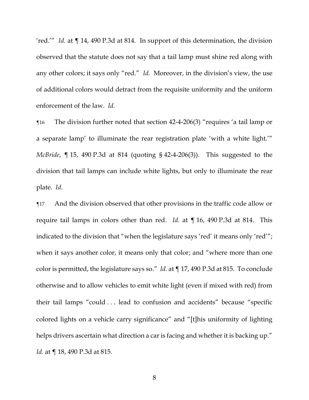'red.'" *Id.* at ¶ 14, 490 P.3d at 814. In support of this determination, the division observed that the statute does not say that a tail lamp must shine red along with any other colors; it says only "red." *Id.* Moreover, in the division's view, the use of additional colors would detract from the requisite uniformity and the uniform enforcement of the law. *Id.*

¶16 The division further noted that section 42-4-206(3) "requires 'a tail lamp or a separate lamp' to illuminate the rear registration plate 'with a white light.'" *McBride*, ¶ 15, 490 P.3d at 814 (quoting § 42-4-206(3)). This suggested to the division that tail lamps can include white lights, but only to illuminate the rear plate. *Id.*

¶17 And the division observed that other provisions in the traffic code allow or require tail lamps in colors other than red. *Id.* at ¶ 16, 490 P.3d at 814. This indicated to the division that "when the legislature says 'red' it means only 'red'"; when it says another color, it means only that color; and "where more than one color is permitted, the legislature says so." *Id.* at ¶ 17, 490 P.3d at 815. To conclude otherwise and to allow vehicles to emit white light (even if mixed with red) from their tail lamps "could . . . lead to confusion and accidents" because "specific colored lights on a vehicle carry significance" and "[t]his uniformity of lighting helps drivers ascertain what direction a car is facing and whether it is backing up." *Id.* at  $\P$  18, 490 P.3d at 815.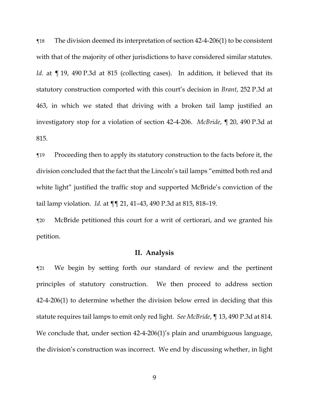¶18 The division deemed its interpretation of section 42-4-206(1) to be consistent with that of the majority of other jurisdictions to have considered similar statutes. Id. at ¶ 19, 490 P.3d at 815 (collecting cases). In addition, it believed that its statutory construction comported with this court's decision in *Brant*, 252 P.3d at 463, in which we stated that driving with a broken tail lamp justified an investigatory stop for a violation of section 42-4-206. *McBride*, ¶ 20, 490 P.3d at 815.

¶19 Proceeding then to apply its statutory construction to the facts before it, the division concluded that the fact that the Lincoln's tail lamps "emitted both red and white light" justified the traffic stop and supported McBride's conviction of the tail lamp violation. *Id.* at ¶¶ 21, 41–43, 490 P.3d at 815, 818–19.

¶20 McBride petitioned this court for a writ of certiorari, and we granted his petition.

## **II. Analysis**

¶21 We begin by setting forth our standard of review and the pertinent principles of statutory construction. We then proceed to address section 42-4-206(1) to determine whether the division below erred in deciding that this statute requires tail lamps to emit only red light. *See McBride*, ¶ 13, 490 P.3d at 814. We conclude that, under section 42-4-206(1)'s plain and unambiguous language, the division's construction was incorrect. We end by discussing whether, in light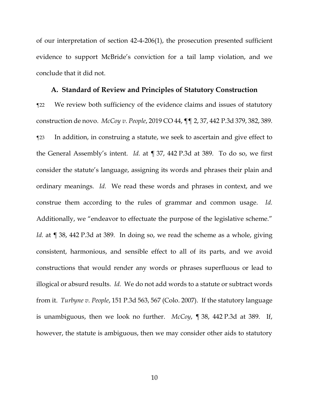of our interpretation of section 42-4-206(1), the prosecution presented sufficient evidence to support McBride's conviction for a tail lamp violation, and we conclude that it did not.

#### **A. Standard of Review and Principles of Statutory Construction**

¶22 We review both sufficiency of the evidence claims and issues of statutory construction de novo. *McCoy v. People*, 2019 CO 44, ¶¶ 2, 37, 442 P.3d 379, 382, 389. ¶23 In addition, in construing a statute, we seek to ascertain and give effect to the General Assembly's intent. *Id.* at ¶ 37, 442 P.3d at 389. To do so, we first consider the statute's language, assigning its words and phrases their plain and ordinary meanings. *Id.* We read these words and phrases in context, and we construe them according to the rules of grammar and common usage. *Id.* Additionally, we "endeavor to effectuate the purpose of the legislative scheme." *Id.* at ¶ 38, 442 P.3d at 389. In doing so, we read the scheme as a whole, giving consistent, harmonious, and sensible effect to all of its parts, and we avoid constructions that would render any words or phrases superfluous or lead to illogical or absurd results. *Id.* We do not add words to a statute or subtract words from it. *Turbyne v. People*, 151 P.3d 563, 567 (Colo. 2007). If the statutory language is unambiguous, then we look no further. *McCoy*, ¶ 38, 442 P.3d at 389. If, however, the statute is ambiguous, then we may consider other aids to statutory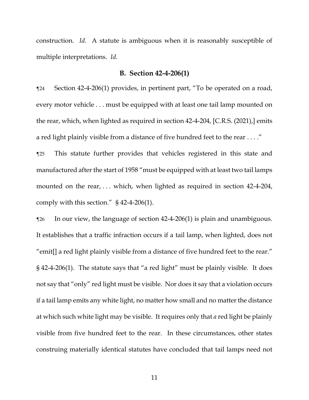construction. *Id.* A statute is ambiguous when it is reasonably susceptible of multiple interpretations. *Id.*

# **B. Section 42-4-206(1)**

¶24 Section 42-4-206(1) provides, in pertinent part, "To be operated on a road, every motor vehicle . . . must be equipped with at least one tail lamp mounted on the rear, which, when lighted as required in section 42-4-204, [C.R.S. (2021),] emits a red light plainly visible from a distance of five hundred feet to the rear . . . ."

¶25 This statute further provides that vehicles registered in this state and manufactured after the start of 1958 "must be equipped with at least two tail lamps mounted on the rear, ... which, when lighted as required in section 42-4-204, comply with this section." § 42-4-206(1).

¶26 In our view, the language of section 42-4-206(1) is plain and unambiguous. It establishes that a traffic infraction occurs if a tail lamp, when lighted, does not "emit[] a red light plainly visible from a distance of five hundred feet to the rear." § 42-4-206(1). The statute says that "a red light" must be plainly visible. It does not say that "only" red light must be visible. Nor does it say that a violation occurs if a tail lamp emits any white light, no matter how small and no matter the distance at which such white light may be visible. It requires only that *a* red light be plainly visible from five hundred feet to the rear. In these circumstances, other states construing materially identical statutes have concluded that tail lamps need not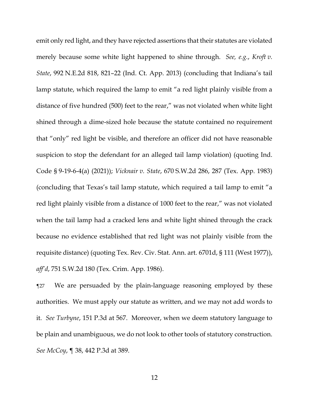emit only red light, and they have rejected assertions that their statutes are violated merely because some white light happened to shine through. *See, e.g.*, *Kroft v. State*, 992 N.E.2d 818, 821–22 (Ind. Ct. App. 2013) (concluding that Indiana's tail lamp statute, which required the lamp to emit "a red light plainly visible from a distance of five hundred (500) feet to the rear," was not violated when white light shined through a dime-sized hole because the statute contained no requirement that "only" red light be visible, and therefore an officer did not have reasonable suspicion to stop the defendant for an alleged tail lamp violation) (quoting Ind. Code § 9-19-6-4(a) (2021)); *Vicknair v. State*, 670 S.W.2d 286, 287 (Tex. App. 1983) (concluding that Texas's tail lamp statute, which required a tail lamp to emit "a red light plainly visible from a distance of 1000 feet to the rear," was not violated when the tail lamp had a cracked lens and white light shined through the crack because no evidence established that red light was not plainly visible from the requisite distance) (quoting Tex. Rev. Civ. Stat. Ann. art. 6701d, § 111 (West 1977)), *aff'd*, 751 S.W.2d 180 (Tex. Crim. App. 1986).

¶27 We are persuaded by the plain-language reasoning employed by these authorities. We must apply our statute as written, and we may not add words to it. *See Turbyne*, 151 P.3d at 567. Moreover, when we deem statutory language to be plain and unambiguous, we do not look to other tools of statutory construction. *See McCoy*, ¶ 38, 442 P.3d at 389.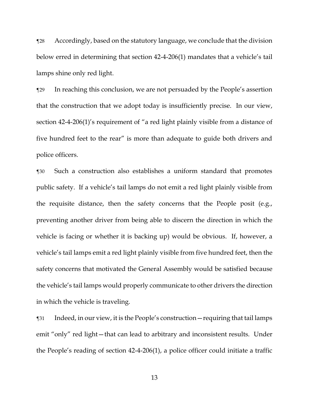¶28 Accordingly, based on the statutory language, we conclude that the division below erred in determining that section 42-4-206(1) mandates that a vehicle's tail lamps shine only red light.

¶29 In reaching this conclusion, we are not persuaded by the People's assertion that the construction that we adopt today is insufficiently precise. In our view, section 42-4-206(1)'s requirement of "a red light plainly visible from a distance of five hundred feet to the rear" is more than adequate to guide both drivers and police officers.

¶30 Such a construction also establishes a uniform standard that promotes public safety. If a vehicle's tail lamps do not emit a red light plainly visible from the requisite distance, then the safety concerns that the People posit (e.g., preventing another driver from being able to discern the direction in which the vehicle is facing or whether it is backing up) would be obvious. If, however, a vehicle's tail lamps emit a red light plainly visible from five hundred feet, then the safety concerns that motivated the General Assembly would be satisfied because the vehicle's tail lamps would properly communicate to other drivers the direction in which the vehicle is traveling.

¶31 Indeed, in our view, it is the People's construction—requiring that tail lamps emit "only" red light—that can lead to arbitrary and inconsistent results. Under the People's reading of section 42-4-206(1), a police officer could initiate a traffic

13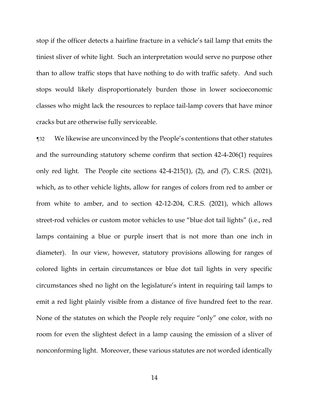stop if the officer detects a hairline fracture in a vehicle's tail lamp that emits the tiniest sliver of white light. Such an interpretation would serve no purpose other than to allow traffic stops that have nothing to do with traffic safety. And such stops would likely disproportionately burden those in lower socioeconomic classes who might lack the resources to replace tail-lamp covers that have minor cracks but are otherwise fully serviceable.

¶32 We likewise are unconvinced by the People's contentions that other statutes and the surrounding statutory scheme confirm that section 42-4-206(1) requires only red light. The People cite sections 42-4-215(1), (2), and (7), C.R.S. (2021), which, as to other vehicle lights, allow for ranges of colors from red to amber or from white to amber, and to section 42-12-204, C.R.S. (2021), which allows street-rod vehicles or custom motor vehicles to use "blue dot tail lights" (i.e., red lamps containing a blue or purple insert that is not more than one inch in diameter). In our view, however, statutory provisions allowing for ranges of colored lights in certain circumstances or blue dot tail lights in very specific circumstances shed no light on the legislature's intent in requiring tail lamps to emit a red light plainly visible from a distance of five hundred feet to the rear. None of the statutes on which the People rely require "only" one color, with no room for even the slightest defect in a lamp causing the emission of a sliver of nonconforming light. Moreover, these various statutes are not worded identically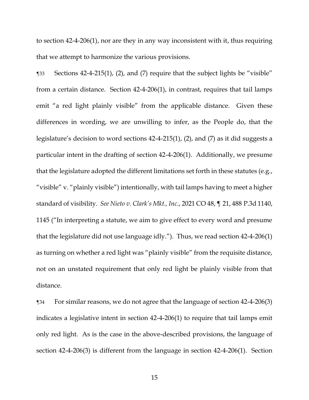to section 42-4-206(1), nor are they in any way inconsistent with it, thus requiring that we attempt to harmonize the various provisions.

¶33 Sections 42-4-215(1), (2), and (7) require that the subject lights be "visible" from a certain distance. Section 42-4-206(1), in contrast, requires that tail lamps emit "a red light plainly visible" from the applicable distance. Given these differences in wording, we are unwilling to infer, as the People do, that the legislature's decision to word sections 42-4-215(1), (2), and (7) as it did suggests a particular intent in the drafting of section 42-4-206(1). Additionally, we presume that the legislature adopted the different limitations set forth in these statutes (e.g., "visible" v. "plainly visible") intentionally, with tail lamps having to meet a higher standard of visibility. *See Nieto v. Clark's Mkt., Inc.*, 2021 CO 48, ¶ 21, 488 P.3d 1140, 1145 ("In interpreting a statute, we aim to give effect to every word and presume that the legislature did not use language idly."). Thus, we read section 42-4-206(1) as turning on whether a red light was "plainly visible" from the requisite distance, not on an unstated requirement that only red light be plainly visible from that distance.

¶34 For similar reasons, we do not agree that the language of section 42-4-206(3) indicates a legislative intent in section 42-4-206(1) to require that tail lamps emit only red light. As is the case in the above-described provisions, the language of section 42-4-206(3) is different from the language in section 42-4-206(1). Section

15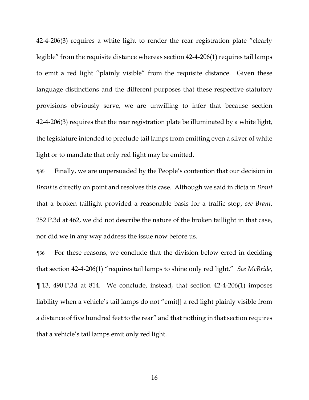42-4-206(3) requires a white light to render the rear registration plate "clearly legible" from the requisite distance whereas section 42-4-206(1) requires tail lamps to emit a red light "plainly visible" from the requisite distance. Given these language distinctions and the different purposes that these respective statutory provisions obviously serve, we are unwilling to infer that because section 42-4-206(3) requires that the rear registration plate be illuminated by a white light, the legislature intended to preclude tail lamps from emitting even a sliver of white light or to mandate that only red light may be emitted.

¶35 Finally, we are unpersuaded by the People's contention that our decision in *Brant* is directly on point and resolves this case. Although we said in dicta in *Brant* that a broken taillight provided a reasonable basis for a traffic stop, *see Brant*, 252 P.3d at 462, we did not describe the nature of the broken taillight in that case, nor did we in any way address the issue now before us.

¶36 For these reasons, we conclude that the division below erred in deciding that section 42-4-206(1) "requires tail lamps to shine only red light." *See McBride*, ¶ 13, 490 P.3d at 814. We conclude, instead, that section 42-4-206(1) imposes liability when a vehicle's tail lamps do not "emit[] a red light plainly visible from a distance of five hundred feet to the rear" and that nothing in that section requires that a vehicle's tail lamps emit only red light.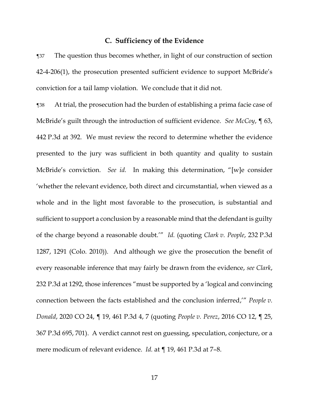## **C. Sufficiency of the Evidence**

¶37 The question thus becomes whether, in light of our construction of section 42-4-206(1), the prosecution presented sufficient evidence to support McBride's conviction for a tail lamp violation. We conclude that it did not.

¶38 At trial, the prosecution had the burden of establishing a prima facie case of McBride's guilt through the introduction of sufficient evidence. *See McCoy*, ¶ 63, 442 P.3d at 392. We must review the record to determine whether the evidence presented to the jury was sufficient in both quantity and quality to sustain McBride's conviction. *See id.* In making this determination, "[w]e consider 'whether the relevant evidence, both direct and circumstantial, when viewed as a whole and in the light most favorable to the prosecution, is substantial and sufficient to support a conclusion by a reasonable mind that the defendant is guilty of the charge beyond a reasonable doubt.'" *Id.* (quoting *Clark v. People*, 232 P.3d 1287, 1291 (Colo. 2010)). And although we give the prosecution the benefit of every reasonable inference that may fairly be drawn from the evidence, *see Clark*, 232 P.3d at 1292, those inferences "must be supported by a 'logical and convincing connection between the facts established and the conclusion inferred,'" *People v. Donald*, 2020 CO 24, ¶ 19, 461 P.3d 4, 7 (quoting *People v. Perez*, 2016 CO 12, ¶ 25, 367 P.3d 695, 701). A verdict cannot rest on guessing, speculation, conjecture, or a mere modicum of relevant evidence. *Id.* at ¶ 19, 461 P.3d at 7–8.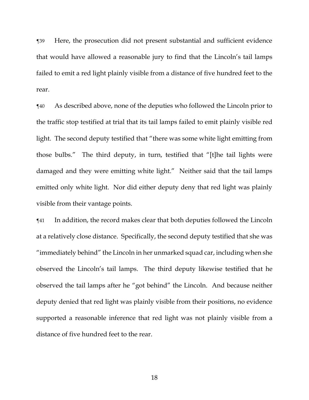¶39 Here, the prosecution did not present substantial and sufficient evidence that would have allowed a reasonable jury to find that the Lincoln's tail lamps failed to emit a red light plainly visible from a distance of five hundred feet to the rear.

¶40 As described above, none of the deputies who followed the Lincoln prior to the traffic stop testified at trial that its tail lamps failed to emit plainly visible red light. The second deputy testified that "there was some white light emitting from those bulbs." The third deputy, in turn, testified that "[t]he tail lights were damaged and they were emitting white light." Neither said that the tail lamps emitted only white light. Nor did either deputy deny that red light was plainly visible from their vantage points.

¶41 In addition, the record makes clear that both deputies followed the Lincoln at a relatively close distance. Specifically, the second deputy testified that she was "immediately behind" the Lincoln in her unmarked squad car, including when she observed the Lincoln's tail lamps. The third deputy likewise testified that he observed the tail lamps after he "got behind" the Lincoln. And because neither deputy denied that red light was plainly visible from their positions, no evidence supported a reasonable inference that red light was not plainly visible from a distance of five hundred feet to the rear.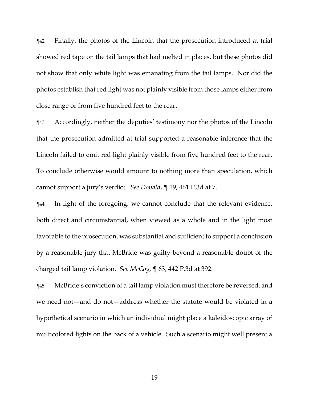¶42 Finally, the photos of the Lincoln that the prosecution introduced at trial showed red tape on the tail lamps that had melted in places, but these photos did not show that only white light was emanating from the tail lamps. Nor did the photos establish that red light was not plainly visible from those lamps either from close range or from five hundred feet to the rear.

¶43 Accordingly, neither the deputies' testimony nor the photos of the Lincoln that the prosecution admitted at trial supported a reasonable inference that the Lincoln failed to emit red light plainly visible from five hundred feet to the rear. To conclude otherwise would amount to nothing more than speculation, which cannot support a jury's verdict. *See Donald*, ¶ 19, 461 P.3d at 7.

¶44 In light of the foregoing, we cannot conclude that the relevant evidence, both direct and circumstantial, when viewed as a whole and in the light most favorable to the prosecution, was substantial and sufficient to support a conclusion by a reasonable jury that McBride was guilty beyond a reasonable doubt of the charged tail lamp violation. *See McCoy*, ¶ 63, 442 P.3d at 392.

¶45 McBride's conviction of a tail lamp violation must therefore be reversed, and we need not—and do not—address whether the statute would be violated in a hypothetical scenario in which an individual might place a kaleidoscopic array of multicolored lights on the back of a vehicle. Such a scenario might well present a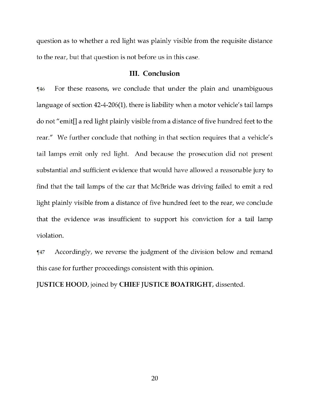question as to whether a red light was plainly visible from the requisite distance to the rear, but that question is not before us in this case.

## **III.** Conclusion

For these reasons, we conclude that under the plain and unambiguous  $\P$ 46 language of section 42-4-206(1), there is liability when a motor vehicle's tail lamps do not "emit[] a red light plainly visible from a distance of five hundred feet to the rear." We further conclude that nothing in that section requires that a vehicle's tail lamps emit only red light. And because the prosecution did not present substantial and sufficient evidence that would have allowed a reasonable jury to find that the tail lamps of the car that McBride was driving failed to emit a red light plainly visible from a distance of five hundred feet to the rear, we conclude that the evidence was insufficient to support his conviction for a tail lamp violation.

Accordingly, we reverse the judgment of the division below and remand  $\P47$ this case for further proceedings consistent with this opinion.

JUSTICE HOOD, joined by CHIEF JUSTICE BOATRIGHT, dissented.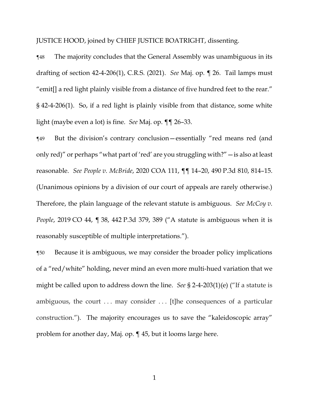JUSTICE HOOD, joined by CHIEF JUSTICE BOATRIGHT, dissenting.

¶48 The majority concludes that the General Assembly was unambiguous in its drafting of section 42-4-206(1), C.R.S. (2021). *See* Maj. op*.* ¶ 26. Tail lamps must "emit[] a red light plainly visible from a distance of five hundred feet to the rear." § 42-4-206(1). So, if a red light is plainly visible from that distance, some white light (maybe even a lot) is fine. *See* Maj. op. ¶¶ 26–33.

¶49 But the division's contrary conclusion—essentially "red means red (and only red)" or perhaps "what part of 'red' are you struggling with?"—is also at least reasonable. *See People v. McBride*, 2020 COA 111, ¶¶ 14–20, 490 P.3d 810, 814–15. (Unanimous opinions by a division of our court of appeals are rarely otherwise.) Therefore, the plain language of the relevant statute is ambiguous. *See McCoy v. People*, 2019 CO 44, ¶ 38, 442 P.3d 379, 389 ("A statute is ambiguous when it is reasonably susceptible of multiple interpretations.").

¶50 Because it is ambiguous, we may consider the broader policy implications of a "red/white" holding, never mind an even more multi-hued variation that we might be called upon to address down the line. *See* § 2-4-203(1)(e) ("If a statute is ambiguous, the court . . . may consider . . . [t]he consequences of a particular construction."). The majority encourages us to save the "kaleidoscopic array" problem for another day, Maj. op. ¶ 45, but it looms large here.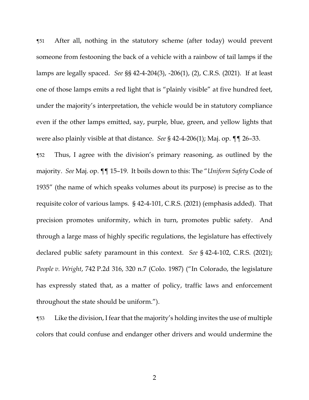¶51 After all, nothing in the statutory scheme (after today) would prevent someone from festooning the back of a vehicle with a rainbow of tail lamps if the lamps are legally spaced. *See* §§ 42-4-204(3), -206(1), (2), C.R.S. (2021). If at least one of those lamps emits a red light that is "plainly visible" at five hundred feet, under the majority's interpretation, the vehicle would be in statutory compliance even if the other lamps emitted, say, purple, blue, green, and yellow lights that were also plainly visible at that distance. *See* § 42-4-206(1); Maj. op. ¶¶ 26–33.

¶52 Thus, I agree with the division's primary reasoning, as outlined by the majority. *See* Maj. op. ¶¶ 15–19. It boils down to this: The "*Uniform Safety* Code of 1935" (the name of which speaks volumes about its purpose) is precise as to the requisite color of various lamps. § 42-4-101, C.R.S. (2021) (emphasis added). That precision promotes uniformity, which in turn, promotes public safety. And through a large mass of highly specific regulations, the legislature has effectively declared public safety paramount in this context. *See* § 42-4-102, C.R.S. (2021); *People v. Wright*, 742 P.2d 316, 320 n.7 (Colo. 1987) ("In Colorado, the legislature has expressly stated that, as a matter of policy, traffic laws and enforcement throughout the state should be uniform.").

¶53 Like the division, I fear that the majority's holding invites the use of multiple colors that could confuse and endanger other drivers and would undermine the